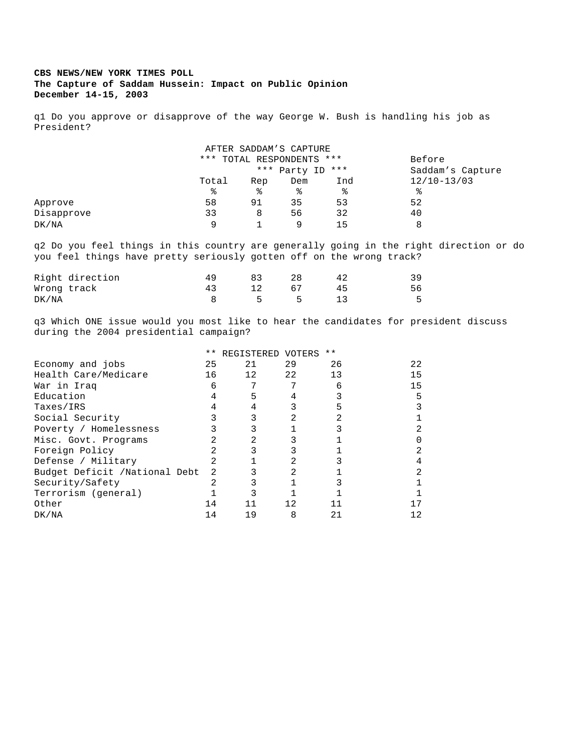## **CBS NEWS/NEW YORK TIMES POLL The Capture of Saddam Hussein: Impact on Public Opinion December 14-15, 2003**

q1 Do you approve or disapprove of the way George W. Bush is handling his job as President?

|            |                           |     | AFTER SADDAM'S CAPTURE |                  |                 |
|------------|---------------------------|-----|------------------------|------------------|-----------------|
|            | *** TOTAL RESPONDENTS *** |     | Before                 |                  |                 |
|            |                           |     | *** Party ID ***       | Saddam's Capture |                 |
|            | Total                     | Rep | Dem                    | Ind              | $12/10 - 13/03$ |
|            | ႜ                         | ిన  | ႜ                      | နွ               | °               |
| Approve    | 58                        | 91  | 35                     | 53               | 52              |
| Disapprove | 33                        | 8   | 56                     | 32               | 40              |
| DK/NA      | 9                         |     | 9                      | 15               |                 |

q2 Do you feel things in this country are generally going in the right direction or do you feel things have pretty seriously gotten off on the wrong track?

|             | Right direction |    |      |   | 39 |
|-------------|-----------------|----|------|---|----|
| Wrong track |                 | 43 |      |   | 56 |
| DK/NA       |                 |    | $-5$ | h | 5  |

q3 Which ONE issue would you most like to hear the candidates for president discuss during the 2004 presidential campaign?

|                               | $***$ | REGISTERED VOTERS |     | $***$ |              |
|-------------------------------|-------|-------------------|-----|-------|--------------|
| Economy and jobs              | 25    | 21                | 29  | 26    | 22           |
| Health Care/Medicare          | 16    | 12                | 22  | 13    | 15           |
| War in Iraq                   | 6     |                   |     | 6     | 15           |
| Education                     | 4     | 5                 | 4   |       | 5            |
| Taxes/IRS                     |       |                   |     | 5.    | 3            |
| Social Security               |       |                   | 2   |       |              |
| Poverty / Homelessness        |       |                   |     |       | 2            |
| Misc. Govt. Programs          |       |                   |     |       | <sup>0</sup> |
| Foreign Policy                |       |                   |     |       | 2            |
| Defense / Military            |       |                   | 2.  |       |              |
| Budget Deficit /National Debt | 2     |                   | 2.  |       | 2            |
| Security/Safety               |       |                   |     |       |              |
| Terrorism (general)           |       |                   |     |       |              |
| Other                         | 14    | 11                | 12. | 11    | 17           |
| DK/NA                         | 14    | 19                | 8   | 21    |              |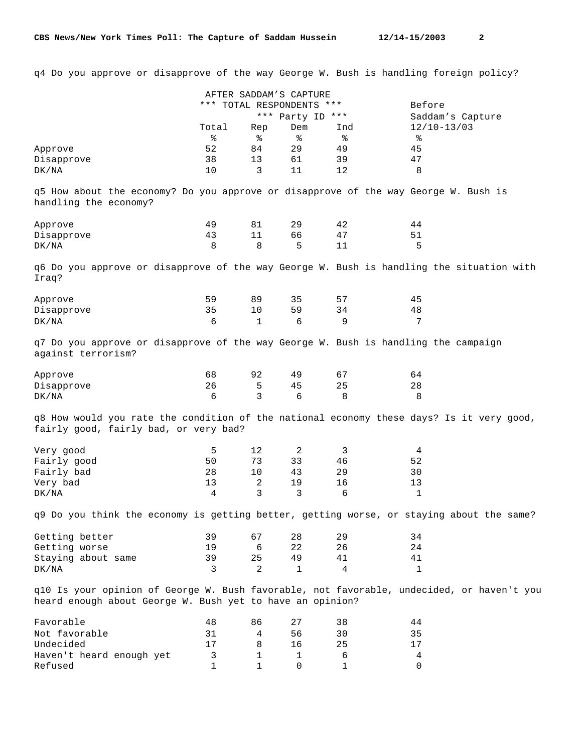q4 Do you approve or disapprove of the way George W. Bush is handling foreign policy?

|                                                                                                                                   |              | AFTER SADDAM'S CAPTURE    |                  |             |                                                                                               |
|-----------------------------------------------------------------------------------------------------------------------------------|--------------|---------------------------|------------------|-------------|-----------------------------------------------------------------------------------------------|
|                                                                                                                                   |              | *** TOTAL RESPONDENTS *** |                  |             | Before                                                                                        |
|                                                                                                                                   |              |                           | *** Party ID *** |             | Saddam's Capture                                                                              |
|                                                                                                                                   | Total        | Rep                       | Dem              | Ind         | $12/10 - 13/03$                                                                               |
|                                                                                                                                   | နွ           | နွ                        | ႜ                | နွ          | နွ                                                                                            |
| Approve                                                                                                                           | 52           | 84                        | 29               | 49          | 45                                                                                            |
| Disapprove                                                                                                                        | 38           | 13                        | 61               | 39          | 47                                                                                            |
| DK/NA                                                                                                                             | 10           | 3                         | 11               | 12          | 8                                                                                             |
| q5 How about the economy? Do you approve or disapprove of the way George W. Bush is<br>handling the economy?                      |              |                           |                  |             |                                                                                               |
| Approve                                                                                                                           | 49           | 81                        | 29               | 42          | 44                                                                                            |
| Disapprove                                                                                                                        | 43           | 11                        | 66               | 47          | 51                                                                                            |
| DK/NA                                                                                                                             | 8            | 8                         | 5                | 11          | 5                                                                                             |
| Iraq?                                                                                                                             |              |                           |                  |             | q6 Do you approve or disapprove of the way George W. Bush is handling the situation with      |
| Approve                                                                                                                           | 59           | 89                        | 35               | 57          | 45                                                                                            |
| Disapprove                                                                                                                        | 35           | 10                        | 59               | 34          | 48                                                                                            |
| DK/NA                                                                                                                             | 6            | $\mathbf{1}$              | 6                | 9           | 7                                                                                             |
| q7 Do you approve or disapprove of the way George W. Bush is handling the campaign<br>against terrorism?<br>Approve<br>Disapprove | 68<br>26     | 92<br>5                   | 49<br>45         | 67<br>25    | 64<br>28                                                                                      |
| DK/NA                                                                                                                             | 6            | 3                         | 6                | 8           | 8                                                                                             |
| fairly good, fairly bad, or very bad?<br>Very good                                                                                | 5            | 12                        | 2                | 3           | q8 How would you rate the condition of the national economy these days? Is it very good,<br>4 |
| Fairly good                                                                                                                       | 50           | 73                        | 33               | 46          | 52                                                                                            |
| Fairly bad                                                                                                                        | 28           | 10                        | 43               | 29          | 30                                                                                            |
| Very bad                                                                                                                          | 13           | 2                         | 19               | 16          | 13                                                                                            |
| DK/NA                                                                                                                             | 4            | 3                         | 3                | 6           | 1                                                                                             |
|                                                                                                                                   |              |                           |                  |             | q9 Do you think the economy is getting better, getting worse, or staying about the same?      |
| Getting better                                                                                                                    | 39           | 67                        | 28               | 29          | 34                                                                                            |
| Getting worse                                                                                                                     | 19           | 6                         | 22               | 26          | 24                                                                                            |
| Staying about same                                                                                                                | 39           | 25                        | 49               | 41          | 41                                                                                            |
| DK/NA                                                                                                                             | 3            | $\overline{a}$            | $\mathbf{1}$     | 4           | 1                                                                                             |
| heard enough about George W. Bush yet to have an opinion?                                                                         |              |                           |                  |             | q10 Is your opinion of George W. Bush favorable, not favorable, undecided, or haven't you     |
| Favorable                                                                                                                         | 48           | 86                        | 27               | 38          | 44                                                                                            |
| Not favorable                                                                                                                     | 31           | 4                         | 56               | 30          | 35                                                                                            |
| Undecided                                                                                                                         | 17           | 8                         | 16               | 25          | 17                                                                                            |
| Haven't heard enough yet                                                                                                          | 3            | $\mathbf{1}$              | $\mathbf 1$      | 6           | $\overline{4}$                                                                                |
| Refused                                                                                                                           | $\mathbf{1}$ | $\mathbf{1}$              | 0                | $\mathbf 1$ | 0                                                                                             |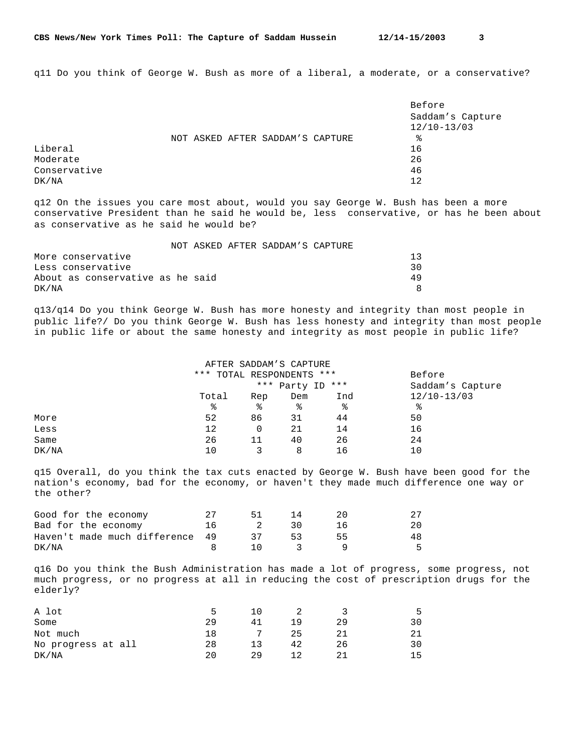q11 Do you think of George W. Bush as more of a liberal, a moderate, or a conservative?

|              |  |                                  | Before           |
|--------------|--|----------------------------------|------------------|
|              |  |                                  | Saddam's Capture |
|              |  |                                  | $12/10 - 13/03$  |
|              |  | NOT ASKED AFTER SADDAM'S CAPTURE | °                |
| Liberal      |  |                                  | 16               |
| Moderate     |  |                                  | 26               |
| Conservative |  |                                  | 46               |
| DK/NA        |  |                                  | 12               |

q12 On the issues you care most about, would you say George W. Bush has been a more conservative President than he said he would be, less conservative, or has he been about as conservative as he said he would be?

|                                  |  | NOT ASKED AFTER SADDAM'S CAPTURE |     |
|----------------------------------|--|----------------------------------|-----|
| More conservative                |  |                                  | -13 |
| Less conservative                |  |                                  | 30  |
| About as conservative as he said |  |                                  | 49  |
| DK/NA                            |  |                                  |     |

q13/q14 Do you think George W. Bush has more honesty and integrity than most people in public life?/ Do you think George W. Bush has less honesty and integrity than most people in public life or about the same honesty and integrity as most people in public life?

|       |                           |                  | AFTER SADDAM'S CAPTURE |     |                 |
|-------|---------------------------|------------------|------------------------|-----|-----------------|
|       | *** TOTAL RESPONDENTS *** | Before           |                        |     |                 |
|       |                           | *** Party ID *** | Saddam's Capture       |     |                 |
|       | Total                     | Rep              | Dem                    | Ind | $12/10 - 13/03$ |
|       | ႜ                         | ႜ                | နွ                     | ႜ   | နွ              |
| More  | 52                        | 86               | 31                     | 44  | 50              |
| Less  | 12                        | 0                | 21                     | 14  | 16              |
| Same  | 26                        | 11               | 40                     | 26  | 24              |
| DK/NA | 10                        | 3                | 8                      | 16  | 10              |

q15 Overall, do you think the tax cuts enacted by George W. Bush have been good for the nation's economy, bad for the economy, or haven't they made much difference one way or the other?

| Good for the economy            |    | 51       |      | 20. |     |
|---------------------------------|----|----------|------|-----|-----|
| Bad for the economy             | 16 | $\sim$ 2 | - 30 | 16. | 20  |
| Haven't made much difference 49 |    | -37      | -53  | 55. | 48. |
| DK/NA                           |    | $\Box$ 0 | - 3  |     | Б.  |

q16 Do you think the Bush Administration has made a lot of progress, some progress, not much progress, or no progress at all in reducing the cost of prescription drugs for the elderly?

| A lot              | ∽  |    |     |    | ∽  |
|--------------------|----|----|-----|----|----|
| Some               | 29 | 41 | 1 Q | 29 | 30 |
| Not much           | 18 | 7  | 25  |    |    |
| No progress at all | 28 | 13 | 42  | 26 |    |
| DK/NA              | 20 | 29 |     |    | ᅠᄃ |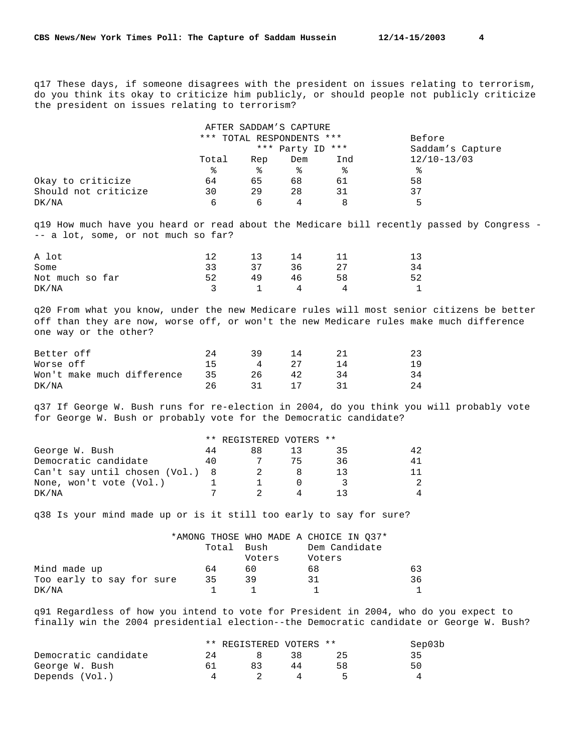q17 These days, if someone disagrees with the president on issues relating to terrorism, do you think its okay to criticize him publicly, or should people not publicly criticize the president on issues relating to terrorism?

|                      |       |                           | AFTER SADDAM'S CAPTURE |     |                 |
|----------------------|-------|---------------------------|------------------------|-----|-----------------|
|                      |       | *** TOTAL RESPONDENTS *** | Before                 |     |                 |
|                      |       | *** Party ID ***          | Saddam's Capture       |     |                 |
|                      | Total | Rep                       | Dem                    | Ind | $12/10 - 13/03$ |
|                      | ፠     | ⊱                         | °                      | °   | ిన              |
| Okay to criticize    | 64    | 65                        | 68                     | 61  | 58              |
| Should not criticize | 30    | 29                        | 28                     | 31  | 37              |
| DK/NA                | 6     | 6                         |                        | 8   | 5               |

q19 How much have you heard or read about the Medicare bill recently passed by Congress - -- a lot, some, or not much so far?

| A lot           | 12 | 13 | 14 |    |    |
|-----------------|----|----|----|----|----|
| Some            | スス | 37 | 36 | 27 | 34 |
| Not much so far | 52 | 49 | 46 | 58 |    |
| DK/NA           |    |    | 4  |    |    |

q20 From what you know, under the new Medicare rules will most senior citizens be better off than they are now, worse off, or won't the new Medicare rules make much difference one way or the other?

| Better off                 | 2.4 | 39       | 14   | 23 |
|----------------------------|-----|----------|------|----|
| Worse off                  | 15  | $\sim$ 4 | - 27 | 19 |
| Won't make much difference | 35  | 26.      | 42   | 34 |
| DK/NA                      | 26. |          |      | 24 |

q37 If George W. Bush runs for re-election in 2004, do you think you will probably vote for George W. Bush or probably vote for the Democratic candidate?

| ** REGISTERED VOTERS ** |  |  |
|-------------------------|--|--|
|-------------------------|--|--|

| George W. Bush                  |    | 88. | スト | 42 |
|---------------------------------|----|-----|----|----|
| Democratic candidate            | 40 |     | 36 | 41 |
| Can't say until chosen (Vol.) 8 |    |     |    |    |
| None, won't vote (Vol.)         |    |     |    |    |
| DK/NA                           |    |     |    |    |

q38 Is your mind made up or is it still too early to say for sure?

|                           |            |        | *AMONG THOSE WHO MADE A CHOICE IN 037* |    |
|---------------------------|------------|--------|----------------------------------------|----|
|                           | Total Bush |        | Dem Candidate                          |    |
|                           |            | Voters | Voters                                 |    |
| Mind made up              | 64         | 60     | 68                                     | 63 |
| Too early to say for sure | 35         | 39     | 31                                     | 36 |
| DK/NA                     |            |        |                                        |    |

q91 Regardless of how you intend to vote for President in 2004, who do you expect to finally win the 2004 presidential election--the Democratic candidate or George W. Bush?

|                      |     | ** REGISTERED VOTERS ** |     | Sep03b |
|----------------------|-----|-------------------------|-----|--------|
| Democratic candidate | 2.4 |                         | 38. | 35     |
| George W. Bush       |     | 83                      | 44  | 50     |
| Depends (Vol.)       |     |                         | 4   |        |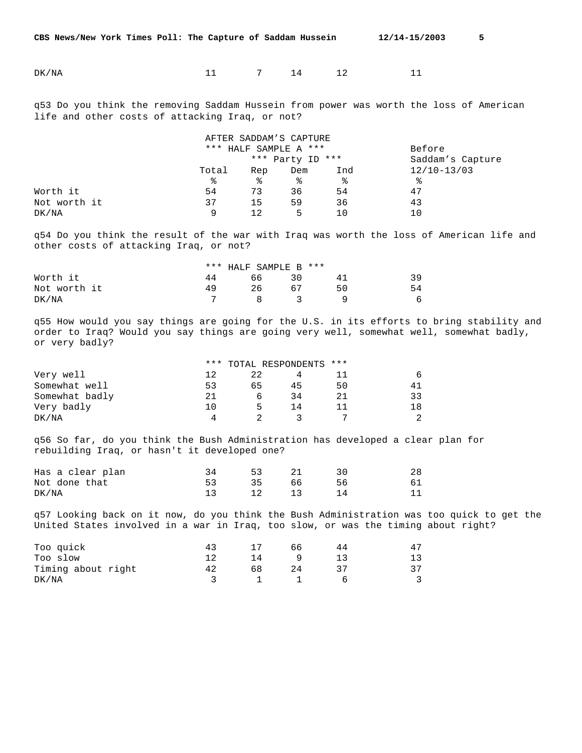DK/NA 11 7 14 12 11

q53 Do you think the removing Saddam Hussein from power was worth the loss of American life and other costs of attacking Iraq, or not?

|              |       |                       | AFTER SADDAM'S CAPTURE |        |                 |
|--------------|-------|-----------------------|------------------------|--------|-----------------|
|              |       | *** HALF SAMPLE A *** |                        | Before |                 |
|              |       | *** Party ID ***      | Saddam's Capture       |        |                 |
|              | Total | Rep                   | Dem                    | Ind    | $12/10 - 13/03$ |
|              | ⊱     | °                     | °                      | °      | ⊱               |
| Worth it     | 54    | 73                    | 36                     | 54     | 47              |
| Not worth it | 37    | 15                    | 59                     | 36     | 43              |
| DK/NA        | 9     | 12                    | 5                      | 1 ∩    | 10              |

q54 Do you think the result of the war with Iraq was worth the loss of American life and other costs of attacking Iraq, or not?

|              | *** HALF SAMPLE B *** |                               |       |    |    |
|--------------|-----------------------|-------------------------------|-------|----|----|
| Worth it     | 44                    | 66                            | $-30$ | 41 | 39 |
| Not worth it | 49                    | 26                            | 67    | 50 | 54 |
| DK/NA        |                       | $\overline{R}$ $\overline{3}$ |       |    | 6  |

q55 How would you say things are going for the U.S. in its efforts to bring stability and order to Iraq? Would you say things are going very well, somewhat well, somewhat badly, or very badly?

|                | *** TOTAL RESPONDENTS *** |    |    |    |                |
|----------------|---------------------------|----|----|----|----------------|
| Very well      | 12                        |    |    |    | 6              |
| Somewhat well  | 53                        | 65 | 45 | 50 | 41             |
| Somewhat badly | 21                        |    | 34 | 21 | 33             |
| Very badly     |                           | ь. | 14 | 11 | 18             |
| DK/NA          | 4                         |    |    |    | $\mathfrak{D}$ |

q56 So far, do you think the Bush Administration has developed a clear plan for rebuilding Iraq, or hasn't it developed one?

| Has a clear plan | 53 21 |  | 28 |
|------------------|-------|--|----|
| Not done that    | 35 66 |  | 61 |
| DK/NA            | 12 13 |  |    |

q57 Looking back on it now, do you think the Bush Administration was too quick to get the United States involved in a war in Iraq, too slow, or was the timing about right?

| Too quick          | 43 |    | h h | 47 |
|--------------------|----|----|-----|----|
| Too slow           |    | 14 |     |    |
| Timing about right | 42 | 68 |     | 37 |
| DK/NA              |    |    |     |    |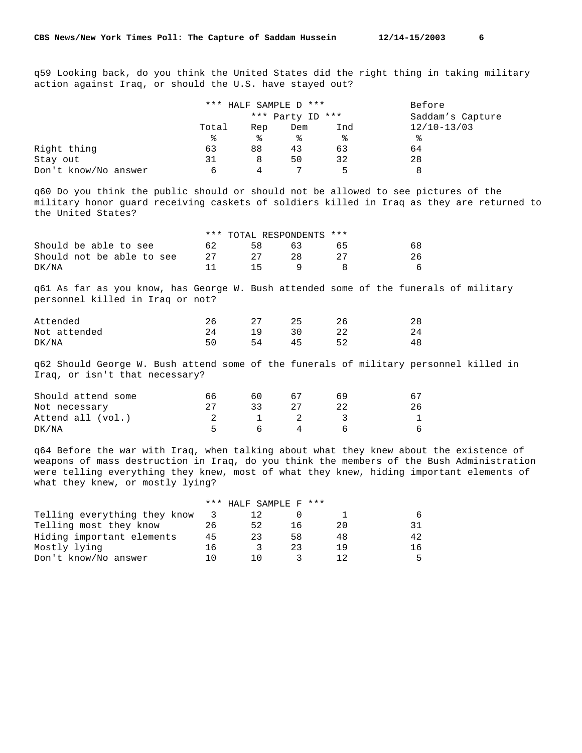q59 Looking back, do you think the United States did the right thing in taking military action against Iraq, or should the U.S. have stayed out?

|                      |       | *** HALF SAMPLE D *** | Before           |     |                 |
|----------------------|-------|-----------------------|------------------|-----|-----------------|
|                      |       | *** Party ID ***      | Saddam's Capture |     |                 |
|                      | Total | Rep                   | Dem              | Ind | $12/10 - 13/03$ |
|                      | °€    | °≈                    | °                | ⊱   | °≈              |
| Right thing          | 63    | 88                    | 43               | 63  | 64              |
| Stay out             | 31    | 8                     | 50               | 32  | 28              |
| Don't know/No answer | 6     |                       |                  | Б.  |                 |

q60 Do you think the public should or should not be allowed to see pictures of the military honor guard receiving caskets of soldiers killed in Iraq as they are returned to the United States?

|                           |      | *** TOTAL RESPONDENTS *** |     |    |    |
|---------------------------|------|---------------------------|-----|----|----|
| Should be able to see     | 62.  | 58.                       | 63  | 65 | 68 |
| Should not be able to see | - 27 |                           | 28. |    | 26 |
| DK/NA                     |      | 15                        |     |    | 6  |

q61 As far as you know, has George W. Bush attended some of the funerals of military personnel killed in Iraq or not?

| Attended     |    |     | つに | 28 |
|--------------|----|-----|----|----|
| Not attended | 24 | 19. | 30 | 24 |
| DK/NA        |    | 54  | 45 | 48 |

q62 Should George W. Bush attend some of the funerals of military personnel killed in Iraq, or isn't that necessary?

| Should attend some | 66. | 60     |  |    |
|--------------------|-----|--------|--|----|
| Not necessary      |     | २२     |  | 26 |
| Attend all (vol.)  |     |        |  |    |
| DK/NA              |     | $\sim$ |  | 6  |

q64 Before the war with Iraq, when talking about what they knew about the existence of weapons of mass destruction in Iraq, do you think the members of the Bush Administration were telling everything they knew, most of what they knew, hiding important elements of what they knew, or mostly lying?

|                              |     | $***$ HALF SAMPLE F $***$ |    |     |     |
|------------------------------|-----|---------------------------|----|-----|-----|
| Telling everything they know |     |                           |    |     | 6   |
| Telling most they know       | 26  | 52                        | 16 | 20. | 31  |
| Hiding important elements    | 45  |                           | 58 | 48  | 42  |
| Mostly lying                 | 16  |                           | 23 | 19  | 1 6 |
| Don't know/No answer         | 1 N |                           |    |     | 5.  |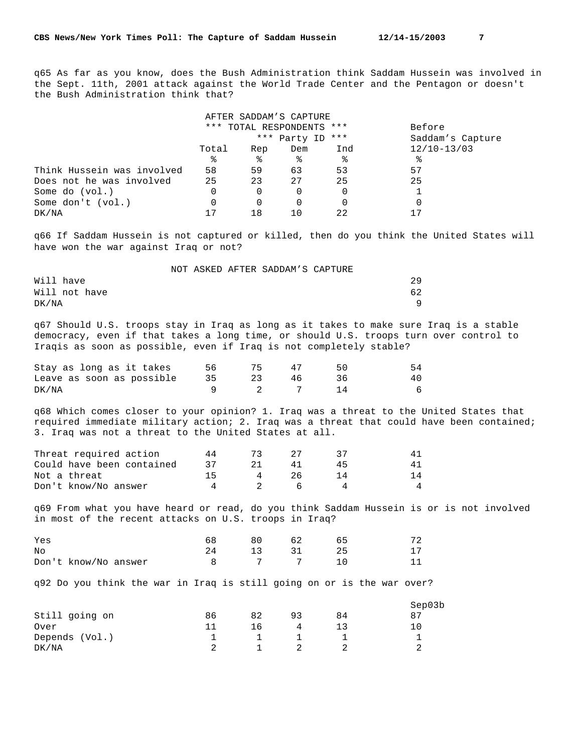q65 As far as you know, does the Bush Administration think Saddam Hussein was involved in the Sept. 11th, 2001 attack against the World Trade Center and the Pentagon or doesn't the Bush Administration think that?

|                            |          |     | AFTER SADDAM'S CAPTURE    |     |                  |
|----------------------------|----------|-----|---------------------------|-----|------------------|
|                            |          |     | *** TOTAL RESPONDENTS *** |     | Before           |
|                            |          |     | *** Party ID              | *** | Saddam's Capture |
|                            | Total    | Rep | Dem                       | Ind | $12/10 - 13/03$  |
|                            | ిన       | ႜ   | ႜ                         | ႜ   | ిన               |
| Think Hussein was involved | 58       | 59  | 63                        | 53  | 57               |
| Does not he was involved   | 25       | 23  | 27                        | 25  | 25               |
| Some do (vol.)             | 0        | 0   |                           |     |                  |
| Some don't (vol.)          | $\Omega$ | 0   |                           |     |                  |
| DK/NA                      | 17       | 18  |                           | 22  |                  |

q66 If Saddam Hussein is not captured or killed, then do you think the United States will have won the war against Iraq or not?

|               |  | NOT ASKED AFTER SADDAM'S CAPTURE |     |
|---------------|--|----------------------------------|-----|
| Will have     |  |                                  | 29  |
| Will not have |  |                                  | 62. |
| DK/NA         |  |                                  |     |

q67 Should U.S. troops stay in Iraq as long as it takes to make sure Iraq is a stable democracy, even if that takes a long time, or should U.S. troops turn over control to Iraqis as soon as possible, even if Iraq is not completely stable?

| Stay as long as it takes     | 56 |     | $4^{\prime}$ | 54 |
|------------------------------|----|-----|--------------|----|
| Leave as soon as possible 35 |    |     | 46.          | 40 |
| DK/NA                        |    | 2 7 |              | 6  |

q68 Which comes closer to your opinion? 1. Iraq was a threat to the United States that required immediate military action; 2. Iraq was a threat that could have been contained; 3. Iraq was not a threat to the United States at all.

| Threat required action    |  |    |    |
|---------------------------|--|----|----|
| Could have been contained |  |    |    |
| Not a threat              |  | ソト | 14 |
| Don't know/No answer      |  |    |    |

q69 From what you have heard or read, do you think Saddam Hussein is or is not involved in most of the recent attacks on U.S. troops in Iraq?

| Yes                  | 68 69 | 80 30 | 62    | 72 |
|----------------------|-------|-------|-------|----|
| No                   | 24    |       | 13 31 |    |
| Don't know/No answer |       | 8 7 7 |       |    |

q92 Do you think the war in Iraq is still going on or is the war over?

|                |    |    |    |    | Sep03b |
|----------------|----|----|----|----|--------|
| Still going on | 86 | 82 | 93 | 84 | -8     |
| Over           |    | 16 |    |    | 10     |
| Depends (Vol.) |    |    |    |    |        |
| DK/NA          |    |    |    |    |        |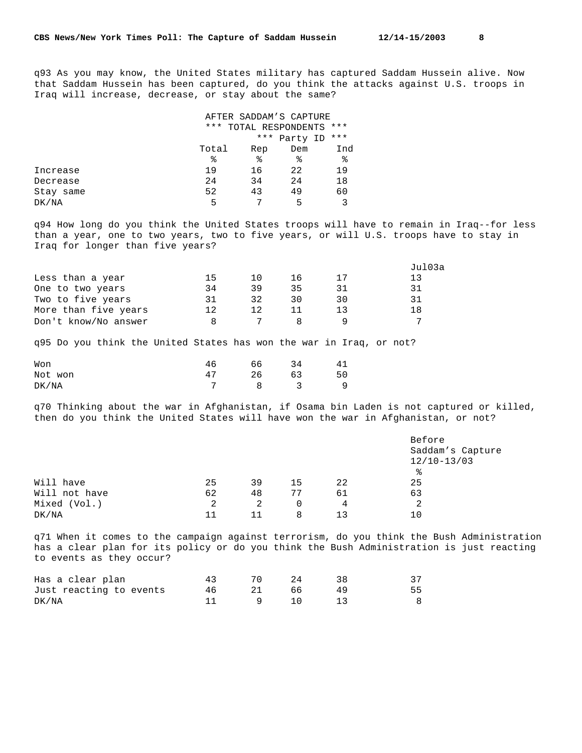q93 As you may know, the United States military has captured Saddam Hussein alive. Now that Saddam Hussein has been captured, do you think the attacks against U.S. troops in Iraq will increase, decrease, or stay about the same?

|           |       |     | AFTER SADDAM'S CAPTURE |       |
|-----------|-------|-----|------------------------|-------|
|           |       |     | *** TOTAL RESPONDENTS  | ***   |
|           |       |     | *** Party ID           | $***$ |
|           | Total | Rep | Dem                    | Ind   |
|           | °     | ి   | °                      | ఄ     |
| Increase  | 19    | 16  | 22                     | 19    |
| Decrease  | 24    | 34  | 24                     | 18    |
| Stay same | 52    | 43  | 49                     | 60    |
| DK/NA     | 5     |     | 5                      | 3     |

q94 How long do you think the United States troops will have to remain in Iraq--for less than a year, one to two years, two to five years, or will U.S. troops have to stay in Iraq for longer than five years?

|    |     |    |    | Jul03a |
|----|-----|----|----|--------|
| 15 | 1 N | 16 | 17 | 13     |
| 34 | 39  | 35 | 31 | 31     |
| 31 | 32  | 30 | 30 | 31     |
| 12 | 12  |    | 13 | 18     |
| я  |     |    |    | ⇁      |
|    |     |    |    |        |

q95 Do you think the United States has won the war in Iraq, or not?

| Won     |    | 66 | 34 | 41           |
|---------|----|----|----|--------------|
| Not won | 47 | 26 | 63 | 50           |
| DK/NA   |    |    |    | <sup>9</sup> |

q70 Thinking about the war in Afghanistan, if Osama bin Laden is not captured or killed, then do you think the United States will have won the war in Afghanistan, or not?

|               |    |    |    |     | Before           |
|---------------|----|----|----|-----|------------------|
|               |    |    |    |     | Saddam's Capture |
|               |    |    |    |     | $12/10 - 13/03$  |
|               |    |    |    |     | °                |
| Will have     | 25 | 39 | 15 | 22  | 25               |
| Will not have | 62 | 48 | 77 | 61  | 63               |
| Mixed (Vol.)  | 2  | 2  | 0  | 4   |                  |
| DK/NA         | 11 | 11 | 8  | า २ | 10               |

q71 When it comes to the campaign against terrorism, do you think the Bush Administration has a clear plan for its policy or do you think the Bush Administration is just reacting to events as they occur?

| Has a clear plan        | 70 D | - 24 |    |     |
|-------------------------|------|------|----|-----|
| Just reacting to events |      | 66   | 49 | 55. |
| DK/NA                   |      |      |    |     |